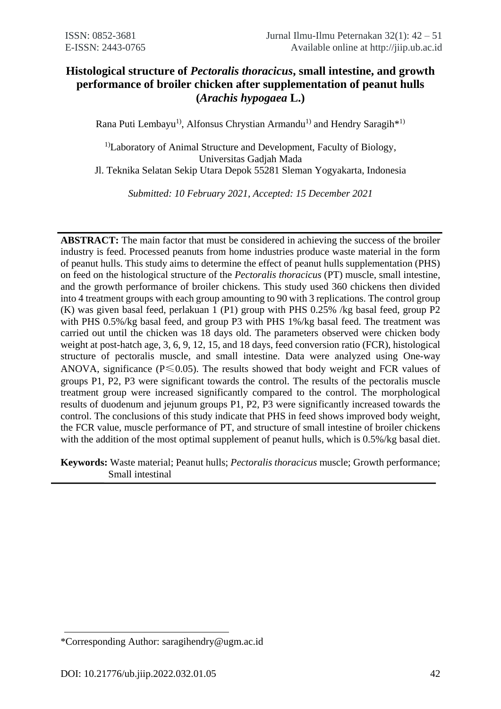# **Histological structure of** *Pectoralis thoracicus***, small intestine, and growth performance of broiler chicken after supplementation of peanut hulls (***Arachis hypogaea* **L.)**

Rana Puti Lembayu<sup>1)</sup>, Alfonsus Chrystian Armandu<sup>1)</sup> and Hendry Saragih<sup>\*1)</sup>

<sup>1)</sup>Laboratory of Animal Structure and Development, Faculty of Biology, Universitas Gadjah Mada Jl. Teknika Selatan Sekip Utara Depok 55281 Sleman Yogyakarta, Indonesia

*Submitted: 10 February 2021, Accepted: 15 December 2021*

**ABSTRACT:** The main factor that must be considered in achieving the success of the broiler industry is feed. Processed peanuts from home industries produce waste material in the form of peanut hulls. This study aims to determine the effect of peanut hulls supplementation (PHS) on feed on the histological structure of the *Pectoralis thoracicus* (PT) muscle, small intestine, and the growth performance of broiler chickens. This study used 360 chickens then divided into 4 treatment groups with each group amounting to 90 with 3 replications. The control group (K) was given basal feed, perlakuan 1 (P1) group with PHS 0.25% /kg basal feed, group P2 with PHS 0.5%/kg basal feed, and group P3 with PHS 1%/kg basal feed. The treatment was carried out until the chicken was 18 days old. The parameters observed were chicken body weight at post-hatch age, 3, 6, 9, 12, 15, and 18 days, feed conversion ratio (FCR), histological structure of pectoralis muscle, and small intestine. Data were analyzed using One-way ANOVA, significance ( $P \le 0.05$ ). The results showed that body weight and FCR values of groups P1, P2, P3 were significant towards the control. The results of the pectoralis muscle treatment group were increased significantly compared to the control. The morphological results of duodenum and jejunum groups P1, P2, P3 were significantly increased towards the control. The conclusions of this study indicate that PHS in feed shows improved body weight, the FCR value, muscle performance of PT, and structure of small intestine of broiler chickens with the addition of the most optimal supplement of peanut hulls, which is  $0.5\%$ /kg basal diet.

**Keywords:** Waste material; Peanut hulls; *Pectoralis thoracicus* muscle; Growth performance; Small intestinal

<sup>\*</sup>Corresponding Author: saragihendry@ugm.ac.id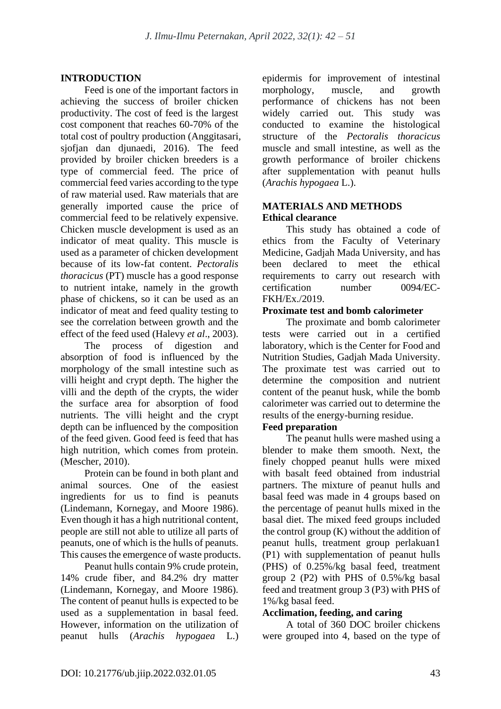## **INTRODUCTION**

Feed is one of the important factors in achieving the success of broiler chicken productivity. The cost of feed is the largest cost component that reaches 60-70% of the total cost of poultry production (Anggitasari, sjofjan dan djunaedi, 2016). The feed provided by broiler chicken breeders is a type of commercial feed. The price of commercial feed varies according to the type of raw material used. Raw materials that are generally imported cause the price of commercial feed to be relatively expensive. Chicken muscle development is used as an indicator of meat quality. This muscle is used as a parameter of chicken development because of its low-fat content. *Pectoralis thoracicus* (PT) muscle has a good response to nutrient intake, namely in the growth phase of chickens, so it can be used as an indicator of meat and feed quality testing to see the correlation between growth and the effect of the feed used (Halevy *et al*., 2003).

The process of digestion and absorption of food is influenced by the morphology of the small intestine such as villi height and crypt depth. The higher the villi and the depth of the crypts, the wider the surface area for absorption of food nutrients. The villi height and the crypt depth can be influenced by the composition of the feed given. Good feed is feed that has high nutrition, which comes from protein. (Mescher, 2010).

Protein can be found in both plant and animal sources. One of the easiest ingredients for us to find is peanuts (Lindemann, Kornegay, and Moore 1986). Even though it has a high nutritional content, people are still not able to utilize all parts of peanuts, one of which is the hulls of peanuts. This causes the emergence of waste products.

Peanut hulls contain 9% crude protein, 14% crude fiber, and 84.2% dry matter (Lindemann, Kornegay, and Moore 1986). The content of peanut hulls is expected to be used as a supplementation in basal feed. However, information on the utilization of peanut hulls (*Arachis hypogaea* L.) epidermis for improvement of intestinal morphology, muscle, and growth performance of chickens has not been widely carried out. This study was conducted to examine the histological structure of the *Pectoralis thoracicus* muscle and small intestine, as well as the growth performance of broiler chickens after supplementation with peanut hulls (*Arachis hypogaea* L.).

### **MATERIALS AND METHODS Ethical clearance**

This study has obtained a code of ethics from the Faculty of Veterinary Medicine, Gadjah Mada University, and has been declared to meet the ethical requirements to carry out research with certification number 0094/EC-FKH/Ex./2019.

### **Proximate test and bomb calorimeter**

The proximate and bomb calorimeter tests were carried out in a certified laboratory, which is the Center for Food and Nutrition Studies, Gadjah Mada University. The proximate test was carried out to determine the composition and nutrient content of the peanut husk, while the bomb calorimeter was carried out to determine the results of the energy-burning residue.

### **Feed preparation**

The peanut hulls were mashed using a blender to make them smooth. Next, the finely chopped peanut hulls were mixed with basalt feed obtained from industrial partners. The mixture of peanut hulls and basal feed was made in 4 groups based on the percentage of peanut hulls mixed in the basal diet. The mixed feed groups included the control group (K) without the addition of peanut hulls, treatment group perlakuan1 (P1) with supplementation of peanut hulls (PHS) of 0.25%/kg basal feed, treatment group 2 (P2) with PHS of 0.5%/kg basal feed and treatment group 3 (P3) with PHS of 1%/kg basal feed.

### **Acclimation, feeding, and caring**

A total of 360 DOC broiler chickens were grouped into 4, based on the type of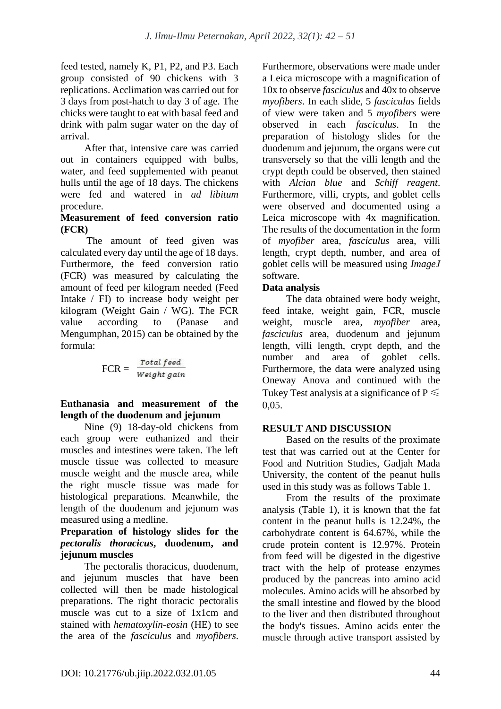feed tested, namely K, P1, P2, and P3. Each group consisted of 90 chickens with 3 replications. Acclimation was carried out for 3 days from post-hatch to day 3 of age. The chicks were taught to eat with basal feed and drink with palm sugar water on the day of arrival.

After that, intensive care was carried out in containers equipped with bulbs, water, and feed supplemented with peanut hulls until the age of 18 days. The chickens were fed and watered in *ad libitum* procedure.

#### **Measurement of feed conversion ratio (FCR)**

The amount of feed given was calculated every day until the age of 18 days. Furthermore, the feed conversion ratio (FCR) was measured by calculating the amount of feed per kilogram needed (Feed Intake / FI) to increase body weight per kilogram (Weight Gain / WG). The FCR value according to (Panase and Mengumphan, 2015) can be obtained by the formula:

$$
FCR = \frac{Total feed}{Weight gain}
$$

**Euthanasia and measurement of the length of the duodenum and jejunum**

Nine (9) 18-day-old chickens from each group were euthanized and their muscles and intestines were taken. The left muscle tissue was collected to measure muscle weight and the muscle area, while the right muscle tissue was made for histological preparations. Meanwhile, the length of the duodenum and jejunum was measured using a medline.

### **Preparation of histology slides for the**  *pectoralis thoracicus***, duodenum, and jejunum muscles**

The pectoralis thoracicus, duodenum, and jejunum muscles that have been collected will then be made histological preparations. The right thoracic pectoralis muscle was cut to a size of 1x1cm and stained with *hematoxylin-eosin* (HE) to see the area of the *fasciculus* and *myofibers*. Furthermore, observations were made under a Leica microscope with a magnification of 10x to observe *fasciculus* and 40x to observe *myofibers*. In each slide, 5 *fasciculus* fields of view were taken and 5 *myofibers* were observed in each *fasciculus*. In the preparation of histology slides for the duodenum and jejunum, the organs were cut transversely so that the villi length and the crypt depth could be observed, then stained with *Alcian blue* and *Schiff reagent*. Furthermore, villi, crypts, and goblet cells were observed and documented using a Leica microscope with 4x magnification. The results of the documentation in the form of *myofiber* area, *fasciculus* area, villi length, crypt depth, number, and area of goblet cells will be measured using *ImageJ* software.

## **Data analysis**

The data obtained were body weight, feed intake, weight gain, FCR, muscle weight, muscle area, *myofiber* area, *fasciculus* area, duodenum and jejunum length, villi length, crypt depth, and the number and area of goblet cells. Furthermore, the data were analyzed using Oneway Anova and continued with the Tukey Test analysis at a significance of  $P \leq$ 0,05.

## **RESULT AND DISCUSSION**

Based on the results of the proximate test that was carried out at the Center for Food and Nutrition Studies, Gadjah Mada University, the content of the peanut hulls used in this study was as follows Table 1.

From the results of the proximate analysis (Table 1), it is known that the fat content in the peanut hulls is 12.24%, the carbohydrate content is 64.67%, while the crude protein content is 12.97%. Protein from feed will be digested in the digestive tract with the help of protease enzymes produced by the pancreas into amino acid molecules. Amino acids will be absorbed by the small intestine and flowed by the blood to the liver and then distributed throughout the body's tissues. Amino acids enter the muscle through active transport assisted by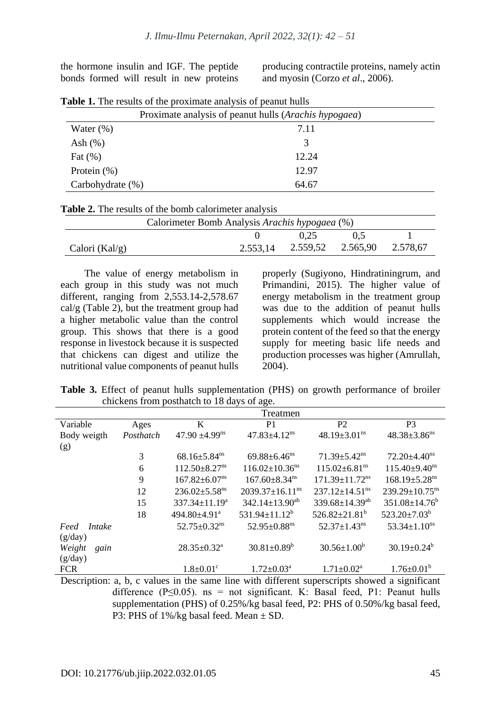the hormone insulin and IGF. The peptide bonds formed will result in new proteins

producing contractile proteins, namely actin and myosin (Corzo *et al*., 2006).

| Proximate analysis of peanut hulls ( <i>Arachis hypogaea</i> ) |       |  |  |  |
|----------------------------------------------------------------|-------|--|--|--|
| Water $(\%)$                                                   | 7.11  |  |  |  |
| Ash $(\%)$                                                     | 3     |  |  |  |
| Fat $(\%)$                                                     | 12.24 |  |  |  |
| Protein $(\%)$                                                 | 12.97 |  |  |  |
| Carbohydrate $(\%)$                                            | 64.67 |  |  |  |

| Table 1. The results of the proximate analysis of peanut hulls |  |  |  |  |
|----------------------------------------------------------------|--|--|--|--|
|----------------------------------------------------------------|--|--|--|--|

| Table 2. The results of the bomb calorimeter analysis |
|-------------------------------------------------------|
|-------------------------------------------------------|

| Calorimeter Bomb Analysis Arachis hypogaea (%) |             |                                     |  |  |  |  |
|------------------------------------------------|-------------|-------------------------------------|--|--|--|--|
|                                                | 0,25<br>0.5 |                                     |  |  |  |  |
| Calori (Kal/g)                                 |             | 2.553,14 2.559,52 2.565,90 2.578.67 |  |  |  |  |

The value of energy metabolism in each group in this study was not much different, ranging from 2,553.14-2,578.67 cal/g (Table 2), but the treatment group had a higher metabolic value than the control group. This shows that there is a good response in livestock because it is suspected that chickens can digest and utilize the nutritional value components of peanut hulls properly (Sugiyono, Hindratiningrum, and Primandini, 2015). The higher value of energy metabolism in the treatment group was due to the addition of peanut hulls supplements which would increase the protein content of the feed so that the energy supply for meeting basic life needs and production processes was higher (Amrullah, 2004).

**Table 3.** Effect of peanut hulls supplementation (PHS) on growth performance of broiler chickens from posthatch to 18 days of age.

|                           |           |                                 | Treatmen                          |                                  |                                  |
|---------------------------|-----------|---------------------------------|-----------------------------------|----------------------------------|----------------------------------|
| Variable                  | Ages      | K                               | P <sub>1</sub>                    | P <sub>2</sub>                   | P <sub>3</sub>                   |
| Body weigth               | Posthatch | $47.90 \pm 4.99$ <sup>ns</sup>  | $47.83 \pm 4.12$ <sup>ns</sup>    | 48.19 $\pm$ 3.01 <sup>ns</sup>   | $48.38 \pm 3.86$ <sup>ns</sup>   |
| (g)                       |           |                                 |                                   |                                  |                                  |
|                           | 3         | $68.16 \pm 5.84$ <sup>ns</sup>  | $69.88 \pm 6.46$ <sup>ns</sup>    | $71.39 \pm 5.42$ <sup>ns</sup>   | $72.20 \pm 4.40$ <sup>ns</sup>   |
|                           | 6         | $112.50 \pm 8.27$ <sup>ns</sup> | $116.02 \pm 10.36$ <sup>ns</sup>  | $115.02 \pm 6.81$ <sup>ns</sup>  | $115.40\pm9.40^{\text{ns}}$      |
|                           | 9         | $167.82 \pm 6.07$ <sup>ns</sup> | $167.60 \pm 8.34$ <sup>ns</sup>   | $171.39 \pm 11.72$ <sup>ns</sup> | $168.19 \pm 5.28$ <sup>ns</sup>  |
|                           | 12        | $236.02 \pm 5.58$ <sup>ns</sup> | $2039.37 \pm 16.11$ <sup>ns</sup> | $237.12 \pm 14.51$ <sup>ns</sup> | $239.29 \pm 10.75$ <sup>ns</sup> |
|                           | 15        | $337.34 \pm 11.19^a$            | $342.14 \pm 13.90^{ab}$           | 339.68 $\pm$ 14.39 <sup>ab</sup> | $351.08 \pm 14.76^b$             |
|                           | 18        | 494.80±4.91 <sup>a</sup>        | 531.94 $\pm$ 11.12 <sup>b</sup>   | $526.82 \pm 21.81^b$             | $523.20 \pm 7.03^b$              |
| Intake<br>Feed<br>(g/day) |           | $52.75 \pm 0.32$ <sup>ns</sup>  | $52.95 \pm 0.88$ <sup>ns</sup>    | $52.37 \pm 1.43$ <sup>ns</sup>   | $53.34 \pm 1.10$ <sup>ns</sup>   |
| Weight<br>gain<br>(g/day) |           | $28.35 \pm 0.32^a$              | $30.81 \pm 0.89^b$                | $30.56 \pm 1.00^b$               | $30.19 \pm 0.24^b$               |
| <b>FCR</b>                |           | $1.8 \pm 0.01$ <sup>c</sup>     | $1.72 \pm 0.03^{\text{a}}$        | $1.71 \pm 0.02^a$                | $1.76 \pm 0.01^b$                |

Description: a, b, c values in the same line with different superscripts showed a significant difference ( $P \le 0.05$ ). ns = not significant. K: Basal feed, P1: Peanut hulls supplementation (PHS) of 0.25%/kg basal feed, P2: PHS of 0.50%/kg basal feed, P3: PHS of 1%/kg basal feed. Mean ± SD.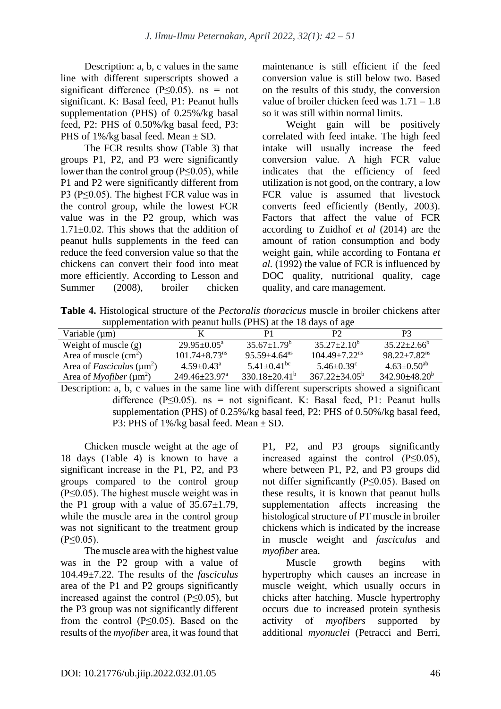Description: a, b, c values in the same line with different superscripts showed a significant difference ( $P \le 0.05$ ). ns = not significant. K: Basal feed, P1: Peanut hulls supplementation (PHS) of 0.25%/kg basal feed, P2: PHS of 0.50%/kg basal feed, P3: PHS of  $1\frac{6}{\text{kg}}$  basal feed. Mean  $\pm$  SD.

The FCR results show (Table 3) that groups P1, P2, and P3 were significantly lower than the control group (P≤0.05), while P1 and P2 were significantly different from P3 (P≤0.05). The highest FCR value was in the control group, while the lowest FCR value was in the P2 group, which was 1.71±0.02. This shows that the addition of peanut hulls supplements in the feed can reduce the feed conversion value so that the chickens can convert their food into meat more efficiently. According to Lesson and Summer (2008), broiler chicken maintenance is still efficient if the feed conversion value is still below two. Based on the results of this study, the conversion value of broiler chicken feed was 1.71 – 1.8 so it was still within normal limits.

Weight gain will be positively correlated with feed intake. The high feed intake will usually increase the feed conversion value. A high FCR value indicates that the efficiency of feed utilization is not good, on the contrary, a low FCR value is assumed that livestock converts feed efficiently (Bently, 2003). Factors that affect the value of FCR according to Zuidhof *et al* (2014) are the amount of ration consumption and body weight gain, while according to Fontana *et al.* (1992) the value of FCR is influenced by DOC quality, nutritional quality, cage quality, and care management.

**Table 4.** Histological structure of the *Pectoralis thoracicus* muscle in broiler chickens after supplementation with peanut hulls (PHS) at the 18 days of age

| Variable $(\mu m)$                                 |                                 |                               | P <sub>2</sub>                | P3                           |
|----------------------------------------------------|---------------------------------|-------------------------------|-------------------------------|------------------------------|
| Weight of muscle $(g)$                             | $29.95 + 0.05^{\circ}$          | $35.67+1.79^{\circ}$          | $35.27 + 2.10^b$              | $35.22 + 2.66^b$             |
| Area of muscle $(cm2)$                             | $101.74 + 8.73$ <sup>ns</sup>   | $95.59 + 4.64$ <sup>ns</sup>  | $104.49 + 7.22$ <sup>ns</sup> | $98.22 + 7.82$ <sup>ns</sup> |
| Area of <i>Fasciculus</i> ( $\mu$ m <sup>2</sup> ) | $4.59 + 0.43^{\circ}$           | $5.41 \pm 0.41$ <sup>bc</sup> | $5.46 + 0.39^{\circ}$         | $4.63 \pm 0.50^{ab}$         |
| Area of <i>Myofiber</i> ( $\mu$ m <sup>2</sup> )   | $249.46 \pm 23.97$ <sup>a</sup> | $330.18 \pm 20.41^{\circ}$    | $367.22 \pm 34.05^{\circ}$    | $342.90\pm48.20^b$           |

Description: a, b, c values in the same line with different superscripts showed a significant difference ( $P \le 0.05$ ). ns = not significant. K: Basal feed, P1: Peanut hulls supplementation (PHS) of 0.25%/kg basal feed, P2: PHS of 0.50%/kg basal feed, P3: PHS of 1%/kg basal feed. Mean ± SD.

Chicken muscle weight at the age of 18 days (Table 4) is known to have a significant increase in the P1, P2, and P3 groups compared to the control group (P≤0.05). The highest muscle weight was in the P1 group with a value of  $35.67 \pm 1.79$ , while the muscle area in the control group was not significant to the treatment group (P≤0.05).

The muscle area with the highest value was in the P2 group with a value of 104.49±7.22. The results of the *fasciculus* area of the P1 and P2 groups significantly increased against the control (P≤0.05), but the P3 group was not significantly different from the control ( $P \le 0.05$ ). Based on the results of the *myofiber* area, it was found that P1, P2, and P3 groups significantly increased against the control (P≤0.05), where between P1, P2, and P3 groups did not differ significantly (P≤0.05). Based on these results, it is known that peanut hulls supplementation affects increasing the histological structure of PT muscle in broiler chickens which is indicated by the increase in muscle weight and *fasciculus* and *myofiber* area.

Muscle growth begins with hypertrophy which causes an increase in muscle weight, which usually occurs in chicks after hatching. Muscle hypertrophy occurs due to increased protein synthesis activity of *myofibers* supported by additional *myonuclei* (Petracci and Berri,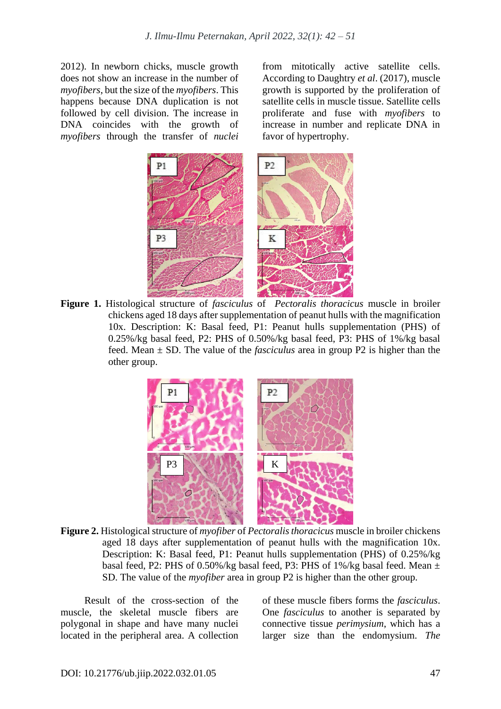2012). In newborn chicks, muscle growth does not show an increase in the number of *myofibers*, but the size of the *myofibers*. This happens because DNA duplication is not followed by cell division. The increase in DNA coincides with the growth of *myofibers* through the transfer of *nuclei* from mitotically active satellite cells. According to Daughtry *et al*. (2017), muscle growth is supported by the proliferation of satellite cells in muscle tissue. Satellite cells proliferate and fuse with *myofibers* to increase in number and replicate DNA in favor of hypertrophy.



**Figure 1.** Histological structure of *fasciculus* of *Pectoralis thoracicus* muscle in broiler chickens aged 18 days after supplementation of peanut hulls with the magnification 10x. Description: K: Basal feed, P1: Peanut hulls supplementation (PHS) of 0.25%/kg basal feed, P2: PHS of 0.50%/kg basal feed, P3: PHS of 1%/kg basal feed. Mean ± SD. The value of the *fasciculus* area in group P2 is higher than the other group.



**Figure 2.** Histological structure of *myofiber* of *Pectoralis thoracicus* muscle in broiler chickens aged 18 days after supplementation of peanut hulls with the magnification 10x. Description: K: Basal feed, P1: Peanut hulls supplementation (PHS) of 0.25%/kg basal feed, P2: PHS of 0.50%/kg basal feed, P3: PHS of 1%/kg basal feed. Mean  $\pm$ SD. The value of the *myofiber* area in group P2 is higher than the other group.

Result of the cross-section of the muscle, the skeletal muscle fibers are polygonal in shape and have many nuclei located in the peripheral area. A collection

of these muscle fibers forms the *fasciculus*. One *fasciculus* to another is separated by connective tissue *perimysium*, which has a larger size than the endomysium. *The*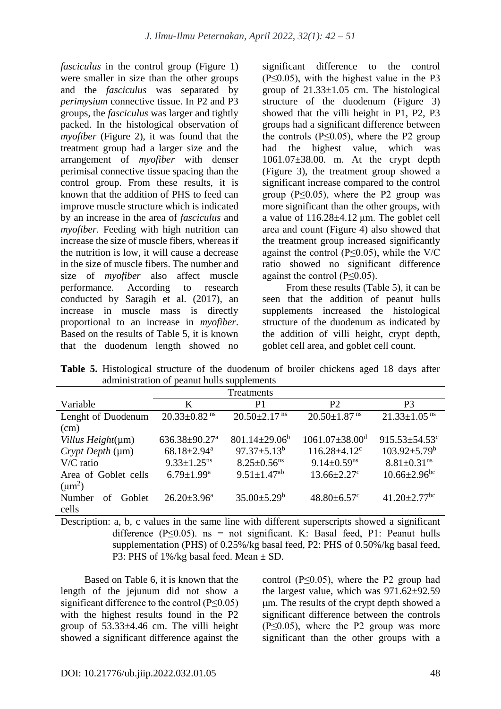*fasciculus* in the control group (Figure 1) were smaller in size than the other groups and the *fasciculus* was separated by *perimysium* connective tissue. In P2 and P3 groups, the *fasciculus* was larger and tightly packed. In the histological observation of *myofiber* (Figure 2), it was found that the treatment group had a larger size and the arrangement of *myofiber* with denser perimisal connective tissue spacing than the control group. From these results, it is known that the addition of PHS to feed can improve muscle structure which is indicated by an increase in the area of *fasciculus* and *myofiber*. Feeding with high nutrition can increase the size of muscle fibers, whereas if the nutrition is low, it will cause a decrease in the size of muscle fibers. The number and size of *myofiber* also affect muscle performance. According to research conducted by Saragih et al. (2017), an increase in muscle mass is directly proportional to an increase in *myofiber*. Based on the results of Table 5, it is known that the duodenum length showed no

significant difference to the control  $(P \le 0.05)$ , with the highest value in the P3 group of  $21.33 \pm 1.05$  cm. The histological structure of the duodenum (Figure 3) showed that the villi height in P1, P2, P3 groups had a significant difference between the controls  $(P<0.05)$ , where the P2 group had the highest value, which was 1061.07±38.00. m. At the crypt depth (Figure 3), the treatment group showed a significant increase compared to the control group ( $P \leq 0.05$ ), where the P2 group was more significant than the other groups, with a value of  $116.28 \pm 4.12$  um. The goblet cell area and count (Figure 4) also showed that the treatment group increased significantly against the control ( $P \leq 0.05$ ), while the V/C ratio showed no significant difference against the control (P≤0.05).

From these results (Table 5), it can be seen that the addition of peanut hulls supplements increased the histological structure of the duodenum as indicated by the addition of villi height, crypt depth, goblet cell area, and goblet cell count.

**Table 5.** Histological structure of the duodenum of broiler chickens aged 18 days after administration of peanut hulls supplements

| Treatments             |                                 |                                |                                  |                                |  |
|------------------------|---------------------------------|--------------------------------|----------------------------------|--------------------------------|--|
| Variable               | K                               | P <sub>1</sub>                 | P <sub>2</sub>                   | P3                             |  |
| Lenght of Duodenum     | $20.33 \pm 0.82$ <sup>ns</sup>  | $20.50 \pm 2.17$ <sup>ns</sup> | $20.50 \pm 1.87$ <sup>ns</sup>   | $21.33 \pm 1.05$ <sup>ns</sup> |  |
| (cm)                   |                                 |                                |                                  |                                |  |
| Villus Height(µm)      | $636.38 \pm 90.27$ <sup>a</sup> | $801.14 \pm 29.06^b$           | $1061.07 \pm 38.00$ <sup>d</sup> | $915.53 \pm 54.53$ c           |  |
| Crypt Depth (µm)       | $68.18 \pm 2.94$ <sup>a</sup>   | $97.37 \pm 5.13^b$             | $116.28 \pm 4.12$ <sup>c</sup>   | $103.92 \pm 5.79^{\rm b}$      |  |
| $V/C$ ratio            | $9.33 \pm 1.25$ <sup>ns</sup>   | $8.25 \pm 0.56$ <sup>ns</sup>  | $9.14 \pm 0.59$ <sup>ns</sup>    | $8.81 \pm 0.31$ <sup>ns</sup>  |  |
| Area of Goblet cells   | $6.79 \pm 1.99$ <sup>a</sup>    | $9.51 \pm 1.47$ <sup>ab</sup>  | $13.66 \pm 2.27$ <sup>c</sup>    | $10.66 \pm 2.96$ <sup>bc</sup> |  |
| $(\mu m^2)$            |                                 |                                |                                  |                                |  |
| Number<br>Goblet<br>Ωť | $26.20 \pm 3.96^a$              | $35.00 \pm 5.29^b$             | $48.80 \pm 6.57$ <sup>c</sup>    | $41.20 \pm 2.77$ <sup>bc</sup> |  |
| cells                  |                                 |                                |                                  |                                |  |

Description: a, b, c values in the same line with different superscripts showed a significant difference ( $P \le 0.05$ ). ns = not significant. K: Basal feed, P1: Peanut hulls supplementation (PHS) of 0.25%/kg basal feed, P2: PHS of 0.50%/kg basal feed, P3: PHS of 1%/kg basal feed. Mean ± SD.

Based on Table 6, it is known that the length of the jejunum did not show a significant difference to the control  $(P \le 0.05)$ with the highest results found in the P2 group of  $53.33\pm4.46$  cm. The villi height showed a significant difference against the control ( $P \leq 0.05$ ), where the P2 group had the largest value, which was  $971.62 \pm 92.59$ μm. The results of the crypt depth showed a significant difference between the controls (P≤0.05), where the P2 group was more significant than the other groups with a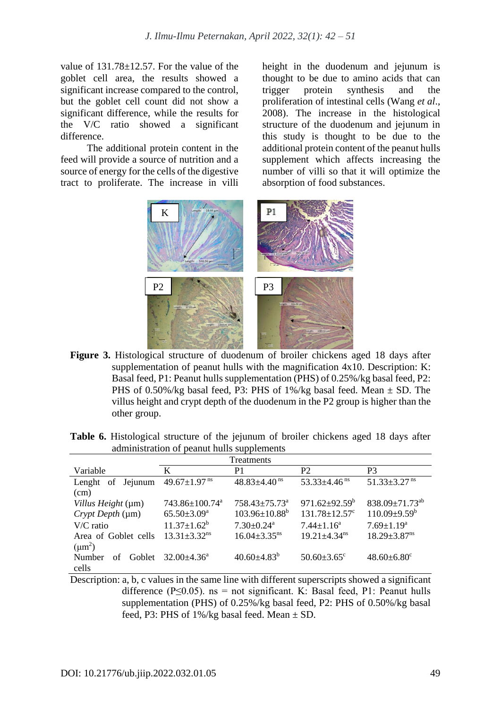value of  $131.78 \pm 12.57$ . For the value of the goblet cell area, the results showed a significant increase compared to the control, but the goblet cell count did not show a significant difference, while the results for the V/C ratio showed a significant difference.

The additional protein content in the feed will provide a source of nutrition and a source of energy for the cells of the digestive tract to proliferate. The increase in villi height in the duodenum and jejunum is thought to be due to amino acids that can trigger protein synthesis and the proliferation of intestinal cells (Wang *et al*., 2008). The increase in the histological structure of the duodenum and jejunum in this study is thought to be due to the additional protein content of the peanut hulls supplement which affects increasing the number of villi so that it will optimize the absorption of food substances.



**Figure 3.** Histological structure of duodenum of broiler chickens aged 18 days after supplementation of peanut hulls with the magnification 4x10. Description: K: Basal feed, P1: Peanut hulls supplementation (PHS) of 0.25%/kg basal feed, P2: PHS of 0.50%/kg basal feed, P3: PHS of  $1\frac{6}{2}$  basal feed. Mean  $\pm$  SD. The villus height and crypt depth of the duodenum in the P2 group is higher than the other group.

| aunimistration of peanul nums supplements |                                |                                 |                                 |                                |  |
|-------------------------------------------|--------------------------------|---------------------------------|---------------------------------|--------------------------------|--|
| Treatments                                |                                |                                 |                                 |                                |  |
| Variable                                  | K                              | P1                              | <b>P2</b>                       | P <sub>3</sub>                 |  |
| Jejunum<br>Lenght of                      | 49.67 $\pm$ 1.97 <sup>ns</sup> | $48.83 \pm 4.40$ <sup>ns</sup>  | $53.33\pm4.46$ <sup>ns</sup>    | $51.33 \pm 3.27$ <sup>ns</sup> |  |
| (cm)                                      |                                |                                 |                                 |                                |  |
| Villus Height (µm)                        | 743.86±100.74 <sup>a</sup>     | $758.43 \pm 75.73$ <sup>a</sup> | $971.62 \pm 92.59^{\circ}$      | $838.09 \pm 71.73^{ab}$        |  |
| Crypt Depth (µm)                          | $65.50 \pm 3.09^{\mathrm{a}}$  | $103.96 \pm 10.88^b$            | $131.78 \pm 12.57$ <sup>c</sup> | $110.09 \pm 9.59^{\rm b}$      |  |
| V/C ratio                                 | $11.37 \pm 1.62^b$             | $7.30 \pm 0.24$ <sup>a</sup>    | $7.44 \pm 1.16^a$               | $7.69 \pm 1.19^a$              |  |
| Area of Goblet cells                      | $13.31 \pm 3.32$ <sup>ns</sup> | $16.04 \pm 3.35$ <sup>ns</sup>  | $19.21 \pm 4.34$ <sup>ns</sup>  | $18.29 \pm 3.87$ <sup>ns</sup> |  |
| $(\mu m^2)$                               |                                |                                 |                                 |                                |  |
| Number<br>Goblet<br>οf                    | $32.00 \pm 4.36^{\circ}$       | $40.60 \pm 4.83^b$              | $50.60 \pm 3.65$ <sup>c</sup>   | $48.60 \pm 6.80$ <sup>c</sup>  |  |
| cells                                     |                                |                                 |                                 |                                |  |

**Table 6.** Histological structure of the jejunum of broiler chickens aged 18 days after administration of peanut hulls supplements

Description: a, b, c values in the same line with different superscripts showed a significant difference ( $P \le 0.05$ ). ns = not significant. K: Basal feed, P1: Peanut hulls supplementation (PHS) of 0.25%/kg basal feed, P2: PHS of 0.50%/kg basal feed, P3: PHS of  $1\%$ /kg basal feed. Mean  $\pm$  SD.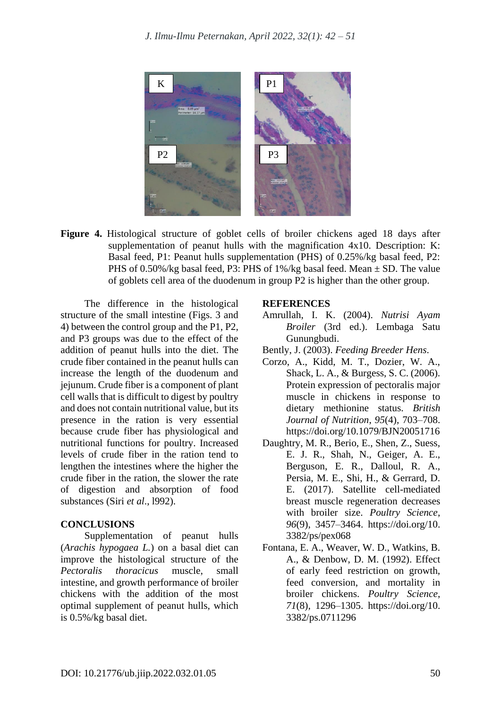

**Figure 4.** Histological structure of goblet cells of broiler chickens aged 18 days after supplementation of peanut hulls with the magnification 4x10. Description: K: Basal feed, P1: Peanut hulls supplementation (PHS) of 0.25%/kg basal feed, P2: PHS of 0.50%/kg basal feed, P3: PHS of  $1\frac{1}{2}$ /kg basal feed. Mean  $\pm$  SD. The value of goblets cell area of the duodenum in group P2 is higher than the other group.

The difference in the histological structure of the small intestine (Figs. 3 and 4) between the control group and the P1, P2, and P3 groups was due to the effect of the addition of peanut hulls into the diet. The crude fiber contained in the peanut hulls can increase the length of the duodenum and jejunum. Crude fiber is a component of plant cell walls that is difficult to digest by poultry and does not contain nutritional value, but its presence in the ration is very essential because crude fiber has physiological and nutritional functions for poultry. Increased levels of crude fiber in the ration tend to lengthen the intestines where the higher the crude fiber in the ration, the slower the rate of digestion and absorption of food substances (Siri *et al*., l992).

#### **CONCLUSIONS**

Supplementation of peanut hulls (*Arachis hypogaea L.*) on a basal diet can improve the histological structure of the *Pectoralis thoracicus* muscle, small intestine, and growth performance of broiler chickens with the addition of the most optimal supplement of peanut hulls, which is 0.5%/kg basal diet.

#### **REFERENCES**

- Amrullah, I. K. (2004). *Nutrisi Ayam Broiler* (3rd ed.). Lembaga Satu Gunungbudi.
- Bently, J. (2003). *Feeding Breeder Hens*.
- Corzo, A., Kidd, M. T., Dozier, W. A., Shack, L. A., & Burgess, S. C. (2006). Protein expression of pectoralis major muscle in chickens in response to dietary methionine status. *British Journal of Nutrition*, *95*(4), 703–708. https://doi.org/10.1079/BJN20051716
- Daughtry, M. R., Berio, E., Shen, Z., Suess, E. J. R., Shah, N., Geiger, A. E., Berguson, E. R., Dalloul, R. A., Persia, M. E., Shi, H., & Gerrard, D. E. (2017). Satellite cell-mediated breast muscle regeneration decreases with broiler size. *Poultry Science*, *96*(9), 3457–3464. https://doi.org/10. 3382/ps/pex068
- Fontana, E. A., Weaver, W. D., Watkins, B. A., & Denbow, D. M. (1992). Effect of early feed restriction on growth, feed conversion, and mortality in broiler chickens. *Poultry Science*, *71*(8), 1296–1305. https://doi.org/10. 3382/ps.0711296